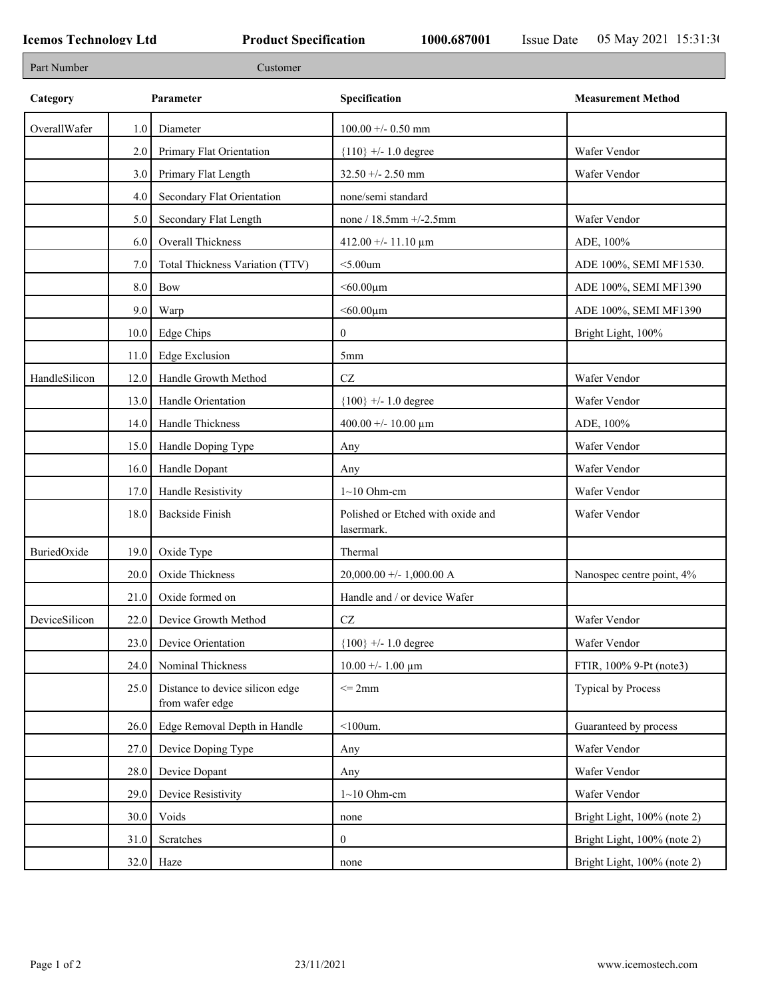| Part Number   |      | Customer                                           |                                                 |                             |
|---------------|------|----------------------------------------------------|-------------------------------------------------|-----------------------------|
| Category      |      | Parameter                                          | Specification                                   | <b>Measurement Method</b>   |
| OverallWafer  | 1.0  | Diameter                                           | $100.00 +/- 0.50$ mm                            |                             |
|               | 2.0  | Primary Flat Orientation                           | ${110}$ +/- 1.0 degree                          | Wafer Vendor                |
|               | 3.0  | Primary Flat Length                                | $32.50 + - 2.50$ mm                             | Wafer Vendor                |
|               | 4.0  | Secondary Flat Orientation                         | none/semi standard                              |                             |
|               | 5.0  | Secondary Flat Length                              | none / 18.5mm +/-2.5mm                          | Wafer Vendor                |
|               | 6.0  | Overall Thickness                                  | 412.00 +/- 11.10 $\mu$ m                        | ADE, 100%                   |
|               | 7.0  | Total Thickness Variation (TTV)                    | $<$ 5.00 $um$                                   | ADE 100%, SEMI MF1530.      |
|               | 8.0  | Bow                                                | $< 60.00 \mu m$                                 | ADE 100%, SEMI MF1390       |
|               | 9.0  | Warp                                               | $< 60.00 \mu m$                                 | ADE 100%, SEMI MF1390       |
|               | 10.0 | Edge Chips                                         | $\overline{0}$                                  | Bright Light, 100%          |
|               | 11.0 | <b>Edge Exclusion</b>                              | 5 <sub>mm</sub>                                 |                             |
| HandleSilicon | 12.0 | Handle Growth Method                               | $\operatorname{CZ}$                             | Wafer Vendor                |
|               | 13.0 | Handle Orientation                                 | ${100}$ +/- 1.0 degree                          | Wafer Vendor                |
|               | 14.0 | Handle Thickness                                   | 400.00 +/- 10.00 $\mu$ m                        | ADE, 100%                   |
|               | 15.0 | Handle Doping Type                                 | Any                                             | Wafer Vendor                |
|               | 16.0 | Handle Dopant                                      | Any                                             | Wafer Vendor                |
|               | 17.0 | Handle Resistivity                                 | $1~10$ Ohm-cm                                   | Wafer Vendor                |
|               | 18.0 | <b>Backside Finish</b>                             | Polished or Etched with oxide and<br>lasermark. | Wafer Vendor                |
| BuriedOxide   | 19.0 | Oxide Type                                         | Thermal                                         |                             |
|               | 20.0 | Oxide Thickness                                    | $20,000.00 +/- 1,000.00 A$                      | Nanospec centre point, 4%   |
|               | 21.0 | Oxide formed on                                    | Handle and / or device Wafer                    |                             |
| DeviceSilicon |      | 22.0 Device Growth Method                          | CZ                                              | Wafer Vendor                |
|               | 23.0 | Device Orientation                                 | ${100}$ +/- 1.0 degree                          | Wafer Vendor                |
|               | 24.0 | Nominal Thickness                                  | $10.00 + - 1.00 \mu m$                          | FTIR, 100% 9-Pt (note3)     |
|               | 25.0 | Distance to device silicon edge<br>from wafer edge | $\leq$ 2mm                                      | Typical by Process          |
|               | 26.0 | Edge Removal Depth in Handle                       | $<$ 100 $um$ .                                  | Guaranteed by process       |
|               | 27.0 | Device Doping Type                                 | Any                                             | Wafer Vendor                |
|               | 28.0 | Device Dopant                                      | Any                                             | Wafer Vendor                |
|               | 29.0 | Device Resistivity                                 | $1~10$ Ohm-cm                                   | Wafer Vendor                |
|               | 30.0 | Voids                                              | none                                            | Bright Light, 100% (note 2) |
|               | 31.0 | Scratches                                          | $\boldsymbol{0}$                                | Bright Light, 100% (note 2) |
|               | 32.0 | Haze                                               | none                                            | Bright Light, 100% (note 2) |
|               |      |                                                    |                                                 |                             |